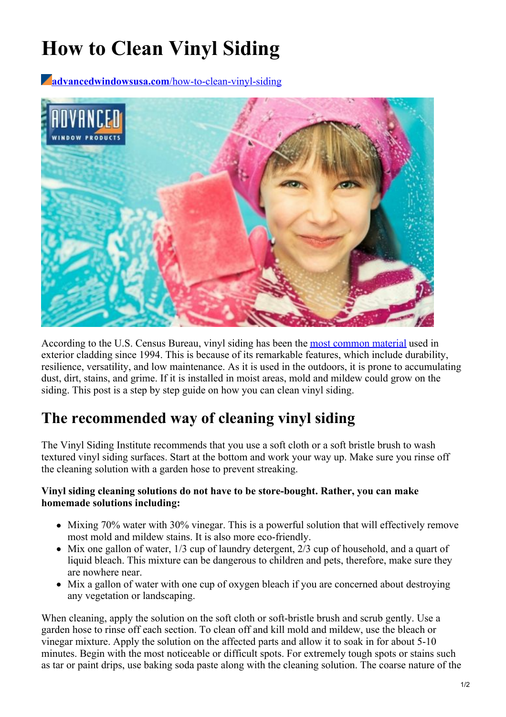# **How to Clean Vinyl Siding**

**[advancedwindowsusa.com](https://advancedwindowsusa.com/how-to-clean-vinyl-siding)**/how-to-clean-vinyl-siding



According to the U.S. Census Bureau, vinyl siding has been the most [common](https://www.census.gov/construction/chars/pdf/exwallmat.pdf) material used in exterior cladding since 1994. This is because of its remarkable features, which include durability, resilience, versatility, and low maintenance. As it is used in the outdoors, it is prone to accumulating dust, dirt, stains, and grime. If it is installed in moist areas, mold and mildew could grow on the siding. This post is a step by step guide on how you can clean vinyl siding.

## **The recommended way of cleaning vinyl siding**

The Vinyl Siding Institute recommends that you use a soft cloth or a soft bristle brush to wash textured vinyl siding surfaces. Start at the bottom and work your way up. Make sure you rinse off the cleaning solution with a garden hose to prevent streaking.

#### **Vinyl siding cleaning solutions do not have to be store-bought. Rather, you can make homemade solutions including:**

- Mixing 70% water with 30% vinegar. This is a powerful solution that will effectively remove most mold and mildew stains. It is also more eco-friendly.
- Mix one gallon of water, 1/3 cup of laundry detergent, 2/3 cup of household, and a quart of liquid bleach. This mixture can be dangerous to children and pets, therefore, make sure they are nowhere near.
- Mix a gallon of water with one cup of oxygen bleach if you are concerned about destroying any vegetation or landscaping.

When cleaning, apply the solution on the soft cloth or soft-bristle brush and scrub gently. Use a garden hose to rinse off each section. To clean off and kill mold and mildew, use the bleach or vinegar mixture. Apply the solution on the affected parts and allow it to soak in for about 5-10 minutes. Begin with the most noticeable or difficult spots. For extremely tough spots or stains such as tar or paint drips, use baking soda paste along with the cleaning solution. The coarse nature of the